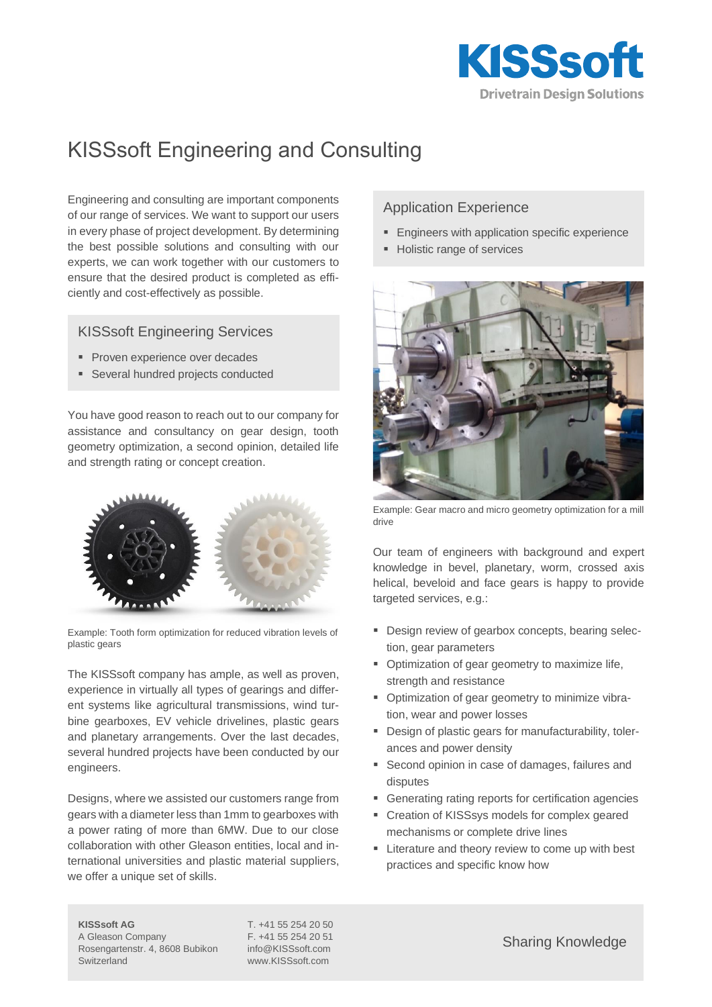

# KISSsoft Engineering and Consulting

Engineering and consulting are important components of our range of services. We want to support our users in every phase of project development. By determining the best possible solutions and consulting with our experts, we can work together with our customers to ensure that the desired product is completed as efficiently and cost-effectively as possible.

### KISSsoft Engineering Services

- **Proven experience over decades**
- Several hundred projects conducted

You have good reason to reach out to our company for assistance and consultancy on gear design, tooth geometry optimization, a second opinion, detailed life and strength rating or concept creation.



Example: Tooth form optimization for reduced vibration levels of plastic gears

The KISSsoft company has ample, as well as proven, experience in virtually all types of gearings and different systems like agricultural transmissions, wind turbine gearboxes, EV vehicle drivelines, plastic gears and planetary arrangements. Over the last decades, several hundred projects have been conducted by our engineers.

Designs, where we assisted our customers range from gears with a diameter less than 1mm to gearboxes with a power rating of more than 6MW. Due to our close collaboration with other Gleason entities, local and international universities and plastic material suppliers, we offer a unique set of skills.

## Application Experience

- **Engineers with application specific experience**
- Holistic range of services



Example: Gear macro and micro geometry optimization for a mill drive

Our team of engineers with background and expert knowledge in bevel, planetary, worm, crossed axis helical, beveloid and face gears is happy to provide targeted services, e.g.:

- Design review of gearbox concepts, bearing selection, gear parameters
- Optimization of gear geometry to maximize life, strength and resistance
- **•** Optimization of gear geometry to minimize vibration, wear and power losses
- Design of plastic gears for manufacturability, tolerances and power density
- Second opinion in case of damages, failures and disputes
- Generating rating reports for certification agencies
- Creation of KISSsys models for complex geared mechanisms or complete drive lines
- Literature and theory review to come up with best practices and specific know how

**KISSsoft AG** T. +41 55 254 20 50 A Gleason Company F. +41 55 254 20 51 Rosengartenstr. 4, 8608 Bubikon info@KISSsoft.com

Switzerland www.KISSsoft.com

Sharing Knowledge